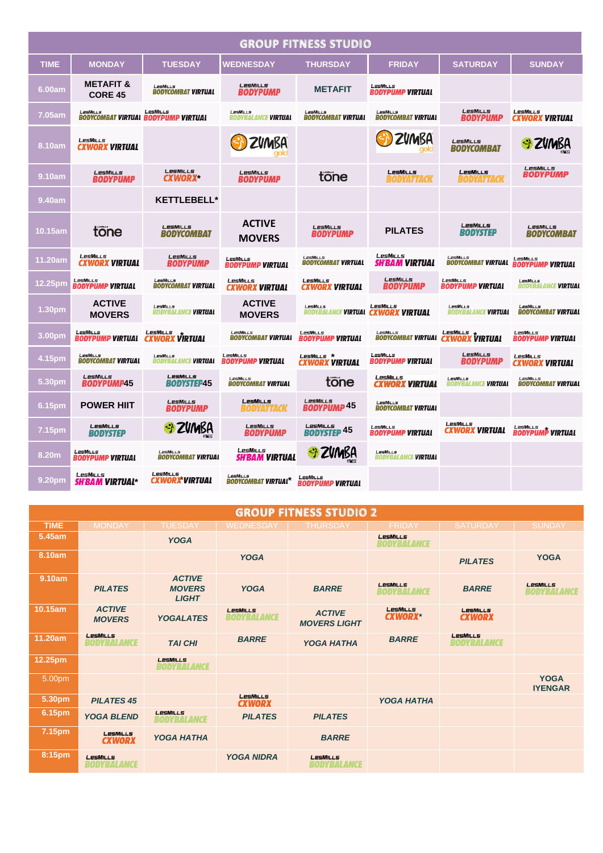| <b>GROUP FITNESS STUDIO</b> |                                          |                                                        |                                               |                                                          |                                                      |                                               |                                        |  |
|-----------------------------|------------------------------------------|--------------------------------------------------------|-----------------------------------------------|----------------------------------------------------------|------------------------------------------------------|-----------------------------------------------|----------------------------------------|--|
| <b>TIME</b>                 | <b>MONDAY</b>                            | <b>TUESDAY</b>                                         | <b>WEDNESDAY</b>                              | <b>THURSDAY</b>                                          | <b>FRIDAY</b>                                        | <b>SATURDAY</b>                               | <b>SUNDAY</b>                          |  |
| 6.00am                      | <b>METAFIT &amp;</b><br><b>CORE 45</b>   | LesMills<br><b>BODYCOMBAT VIRTUAL</b>                  | LesMILLS<br><b>BODYPUMP</b>                   | <b>METAFIT</b>                                           | LesMills<br><b>BODYPUMP VIRTUAL</b>                  |                                               |                                        |  |
| 7.05am                      | <b>LesMILLs</b>                          | LesMills<br><b>BODYCOMBAT VIRTUAL BODYPUMP VIRTUAL</b> | LesMiLLs<br><b>BODYBALANCE VIRTUAL</b>        | LesMills<br><b>BODYCOMBAT VIRTUAL</b>                    | LesMills<br><b>BODYCOMBAT VIRTUAL</b>                | LesMills<br><b>BODYPUMP</b>                   | LesMills<br><b>CXWORX VIRTUAL</b>      |  |
| 8.10am                      | <b>LESMILLS</b><br><b>CXWORX VIRTUAL</b> |                                                        | <b>ZVMBA</b>                                  |                                                          | ZVMBA                                                | LesMILLs<br><b>BODYCOMBAT</b>                 | S ZUMBA                                |  |
| 9.10am                      | LesMills<br><b>BODYPUMP</b>              | LesMills<br><b>CXWORX</b>                              | LesMills<br><b>BODYPUMP</b>                   | tone                                                     | <b>LESMILLS</b><br>BODYATTACK                        | <b>LesMILLs</b><br>BODYATTACK                 | LesMills<br>BODYPUMP                   |  |
| 9.40am                      |                                          | <b>KETTLEBELL*</b>                                     |                                               |                                                          |                                                      |                                               |                                        |  |
| 10.15am                     | tone                                     | LesMills<br>BODYCOMBAT                                 | <b>ACTIVE</b><br><b>MOVERS</b>                | LesMills<br>BODYPUMP                                     | <b>PILATES</b>                                       | LesMills<br><b>BODYSTEP</b>                   | LesMills<br><b>BODYCOMBAT</b>          |  |
| 11.20am                     | LesMILLS<br><b>CXWORX VIRTUAL</b>        | <b>LesMILLS</b><br><b>BODYPUMP</b>                     | LesMills<br><b>BODYPUMP VIRTUAL</b>           | LesMILLS<br><b>BODYCOMBAT VIRTUAL</b>                    | LesMills<br><b>SH'BAM VIRTUAL</b>                    | LesMILLS<br>BODYCOMBAT VIRTUAL                | LesMills<br><b>BODYPUMP VIRTUAL</b>    |  |
| 12.25pm                     | LesMills<br><b>BODYPUMP VIRTUAL</b>      | LesMills<br><b>BODYCOMBAT VIRTUAL</b>                  | LESMILLS<br><b>CXWORX VIRTUAL</b>             | LesMills<br><b>CXWORX VIRTUAL</b>                        | <b>LesMILLS</b><br>BODYPUMP                          | LesMills<br><b>BODYPUMP VIRTUAL</b>           | LesMills<br><b>BODYBALANCE VIRTUAL</b> |  |
| 1.30pm                      | <b>ACTIVE</b><br><b>MOVERS</b>           | LesMills<br><b>BODYBALANCE VIRTUAL</b>                 | <b>ACTIVE</b><br><b>MOVERS</b>                | LesMills<br>BODYBALANCE <b>VIRTUAL   CXWORX  VIRTUAL</b> | LESMILLS                                             | LesMills<br><b>BODYBALANCE VIRTUAL</b>        | LesMills<br><b>BODYCOMBAT VIRTUAL</b>  |  |
| 3.00pm                      | LesMills<br><b>BODYPUMP VIRTUAL</b>      | LesMills<br><b>CXWORX VIRTUAL</b>                      | LesMills<br><b>BODYCOMBAT VIRTUAL</b>         | LesMills<br><b>BODYPUMP VIRTUAL</b>                      | LesMills<br><b>BODYCOMBAT VIRTUAL CXWORX VIRTUAL</b> | $L$ esMills $\star$                           | LesMills<br><b>BODYPUMP VIRTUAL</b>    |  |
| 4.15pm                      | LesMills<br><b>BODYCOMBAT VIRTUAL</b>    | LesMills<br><b>BODYBALANCE VIRTUAL</b>                 | LesMills<br><b>BODYPUMP VIRTUAL</b>           | LesMills *<br><b>CXWORX VIRTUAL</b>                      | LesMills<br><i><b>BODYPUMP VIRTUAL</b></i>           | LesMills<br>BODYPUMP                          | LesMills<br><b>CXWORX VIRTUAL</b>      |  |
| 5.30pm                      | LesMills<br><b>BODYPUMP45</b>            | LesMills<br>BODYSTEP45                                 | LesMills<br><b>BODYCOMBAT VIRTUAL</b>         | tone                                                     | <b>LesMILLS</b><br>CXWORX VIRTUAL                    | <b>LesMiLLs</b><br>BODYBALANCE <b>VIRTUAL</b> | LesMills<br><b>BODYCOMBAT VIRTUAL</b>  |  |
| 6.15pm                      | <b>POWER HIIT</b>                        | <b>LesMILLS</b><br><b>BODYPUMP</b>                     | <b>LESMILLS</b><br>BODYATTACK                 | LesMills<br><b>BODYPUMP 45</b>                           | LesMills<br><b>BODYCOMBAT VIRTUAL</b>                |                                               |                                        |  |
| 7.15pm                      | LesMILLs<br>BODYSTEP                     | S ZVMBA                                                | LesMills<br>BODYPUMP                          | LesMills<br><b>BODYSTEP 45</b>                           | LesMills<br><b>BODYPUMP VIRTUAL</b>                  | LesMills<br><b>CXWORX VIRTUAL</b>             | LESMILLS<br>BODYPUMP VIRTUAL           |  |
| 8.20m                       | LesMills<br><b>BODYPUMP VIRTUAL</b>      | LesMills<br><b>BODYCOMBAT VIRTUAL</b>                  | LesMills<br><b>SH'BAM VIRTUAL</b>             | Si ZVMBA                                                 | <b>LesMiLLs</b><br><b>BODYBALANCE VIRTUAL</b>        |                                               |                                        |  |
| 9.20pm                      | LesMills<br><b>SH'BAM VIRTUAL*</b>       | LesMills<br><b>CXWORX VIRTUAL</b>                      | <b>LesMILLS</b><br><b>BODYCOMBAT VIRTUAL*</b> | LesMills<br><b>BODYPUMP VIRTUAL</b>                      |                                                      |                                               |                                        |  |

| <b>GROUP FITNESS STUDIO 2</b> |                                       |                                                |                                  |                                      |                                |                                       |                                       |  |
|-------------------------------|---------------------------------------|------------------------------------------------|----------------------------------|--------------------------------------|--------------------------------|---------------------------------------|---------------------------------------|--|
| <b>TIME</b>                   | <b>MONDAY</b>                         | <b>TUESDAY</b>                                 | <b>WEDNESDAY</b>                 | <b>THURSDAY</b>                      | <b>FRIDAY</b>                  | <b>SATURDAY</b>                       | <b>SUNDAY</b>                         |  |
| 5.45am                        |                                       | <b>YOGA</b>                                    |                                  |                                      | <b>LesMILLS</b><br>BODYBALANCE |                                       |                                       |  |
| 8.10am                        |                                       |                                                | <b>YOGA</b>                      |                                      |                                | <b>PILATES</b>                        | <b>YOGA</b>                           |  |
| 9.10am                        | <b>PILATES</b>                        | <b>ACTIVE</b><br><b>MOVERS</b><br><b>LIGHT</b> | <b>YOGA</b>                      | <b>BARRE</b>                         | <b>LesMILLS</b><br>BODYBALANCE | <b>BARRE</b>                          | <b>LesMILLS</b><br><b>BODYBALANCE</b> |  |
| 10.15am                       | <b>ACTIVE</b><br><b>MOVERS</b>        | <b>YOGALATES</b>                               | LesMILLs<br><b>BODYBALANCE</b>   | <b>ACTIVE</b><br><b>MOVERS LIGHT</b> | LesMILLs<br><b>CXWORX*</b>     | LesMILLs<br><b>CXWORX</b>             |                                       |  |
| 11.20am                       | <b>LesMILLS</b><br><b>BODYBALANCE</b> | <b>TAI CHI</b>                                 | <b>BARRE</b>                     | <b>YOGA HATHA</b>                    | <b>BARRE</b>                   | <b>LesMILLS</b><br><b>BODYBALANCE</b> |                                       |  |
| 12.25pm                       |                                       | <b>LesMILLS</b><br><b>BODYBALANCE</b>          |                                  |                                      |                                |                                       |                                       |  |
| 5.00pm                        |                                       |                                                |                                  |                                      |                                |                                       | <b>YOGA</b><br><b>IYENGAR</b>         |  |
| 5.30pm                        | <b>PILATES 45</b>                     |                                                | <b>LesMILLS</b><br><b>CXWORX</b> |                                      | <b>YOGA HATHA</b>              |                                       |                                       |  |
| 6.15pm                        | <b>YOGA BLEND</b>                     | LesMILLs<br><b>BODYBALANCE</b>                 | <b>PILATES</b>                   | <b>PILATES</b>                       |                                |                                       |                                       |  |
| 7.15 <sub>pm</sub>            | LesMILLs<br><b>CXWORX</b>             | <b>YOGA HATHA</b>                              |                                  | <b>BARRE</b>                         |                                |                                       |                                       |  |
| 8:15pm                        | LesMILLs<br><b>BODYBALANCE</b>        |                                                | <b>YOGA NIDRA</b>                | LesMILLs<br><b>BODYBALANCE</b>       |                                |                                       |                                       |  |